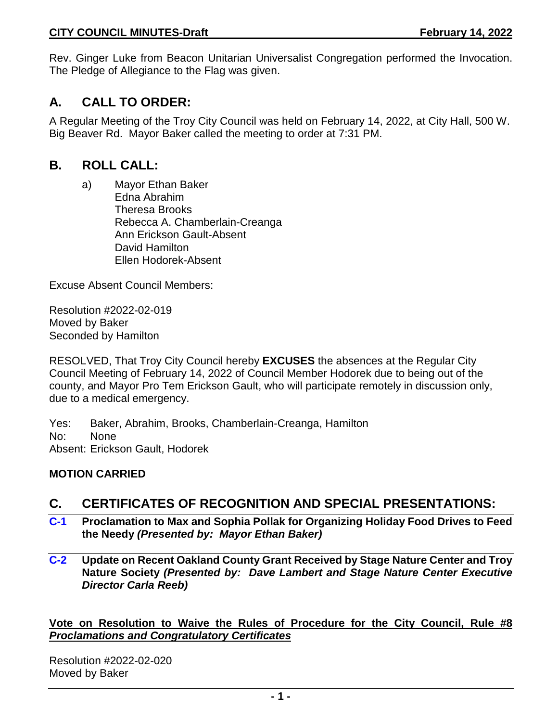Rev. Ginger Luke from Beacon Unitarian Universalist Congregation performed the Invocation. The Pledge of Allegiance to the Flag was given.

# **A. CALL TO ORDER:**

A Regular Meeting of the Troy City Council was held on February 14, 2022, at City Hall, 500 W. Big Beaver Rd. Mayor Baker called the meeting to order at 7:31 PM.

# **B. ROLL CALL:**

a) Mayor Ethan Baker Edna Abrahim Theresa Brooks Rebecca A. Chamberlain-Creanga Ann Erickson Gault-Absent David Hamilton Ellen Hodorek-Absent

Excuse Absent Council Members:

Resolution #2022-02-019 Moved by Baker Seconded by Hamilton

RESOLVED, That Troy City Council hereby **EXCUSES** the absences at the Regular City Council Meeting of February 14, 2022 of Council Member Hodorek due to being out of the county, and Mayor Pro Tem Erickson Gault, who will participate remotely in discussion only, due to a medical emergency.

Yes: Baker, Abrahim, Brooks, Chamberlain-Creanga, Hamilton No: None Absent: Erickson Gault, Hodorek

## **MOTION CARRIED**

# **C. CERTIFICATES OF RECOGNITION AND SPECIAL PRESENTATIONS:**

- **C-1 Proclamation to Max and Sophia Pollak for Organizing Holiday Food Drives to Feed the Needy** *(Presented by: Mayor Ethan Baker)*
- **C-2 Update on Recent Oakland County Grant Received by Stage Nature Center and Troy Nature Society** *(Presented by: Dave Lambert and Stage Nature Center Executive Director Carla Reeb)*

**Vote on Resolution to Waive the Rules of Procedure for the City Council, Rule #8**  *Proclamations and Congratulatory Certificates*

Resolution #2022-02-020 Moved by Baker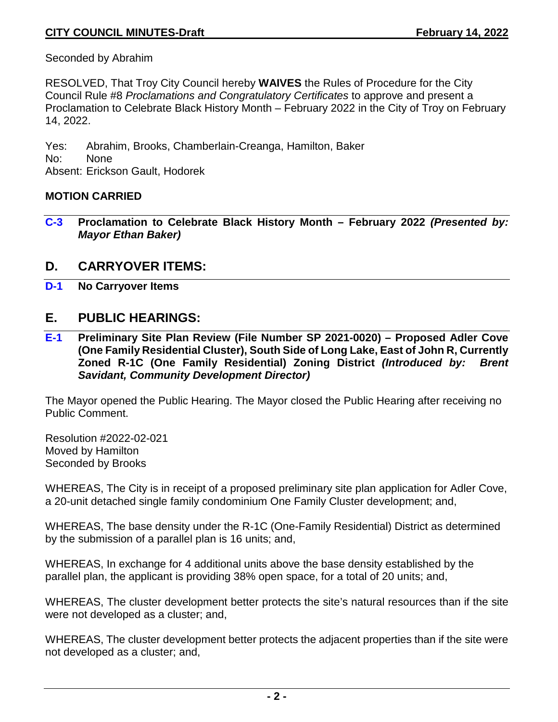Seconded by Abrahim

RESOLVED, That Troy City Council hereby **WAIVES** the Rules of Procedure for the City Council Rule #8 *Proclamations and Congratulatory Certificates* to approve and present a Proclamation to Celebrate Black History Month – February 2022 in the City of Troy on February 14, 2022.

Yes: Abrahim, Brooks, Chamberlain-Creanga, Hamilton, Baker No: None Absent: Erickson Gault, Hodorek

#### **MOTION CARRIED**

**C-3 Proclamation to Celebrate Black History Month – February 2022** *(Presented by: Mayor Ethan Baker)*

## **D. CARRYOVER ITEMS:**

**D-1 No Carryover Items**

# **E. PUBLIC HEARINGS:**

**E-1 Preliminary Site Plan Review (File Number SP 2021-0020) – Proposed Adler Cove (One Family Residential Cluster), South Side of Long Lake, East of John R, Currently Zoned R-1C (One Family Residential) Zoning District** *(Introduced by: Brent Savidant, Community Development Director)*

The Mayor opened the Public Hearing. The Mayor closed the Public Hearing after receiving no Public Comment.

Resolution #2022-02-021 Moved by Hamilton Seconded by Brooks

WHEREAS, The City is in receipt of a proposed preliminary site plan application for Adler Cove, a 20-unit detached single family condominium One Family Cluster development; and,

WHEREAS, The base density under the R-1C (One-Family Residential) District as determined by the submission of a parallel plan is 16 units; and,

WHEREAS, In exchange for 4 additional units above the base density established by the parallel plan, the applicant is providing 38% open space, for a total of 20 units; and,

WHEREAS, The cluster development better protects the site's natural resources than if the site were not developed as a cluster; and,

WHEREAS, The cluster development better protects the adjacent properties than if the site were not developed as a cluster; and,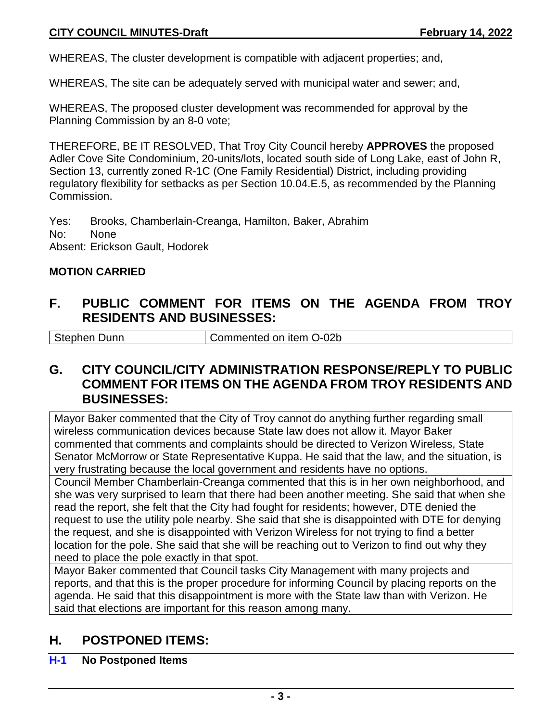WHEREAS, The cluster development is compatible with adjacent properties; and,

WHEREAS, The site can be adequately served with municipal water and sewer; and,

WHEREAS, The proposed cluster development was recommended for approval by the Planning Commission by an 8-0 vote;

THEREFORE, BE IT RESOLVED, That Troy City Council hereby **APPROVES** the proposed Adler Cove Site Condominium, 20-units/lots, located south side of Long Lake, east of John R, Section 13, currently zoned R-1C (One Family Residential) District, including providing regulatory flexibility for setbacks as per Section 10.04.E.5, as recommended by the Planning Commission.

Yes: Brooks, Chamberlain-Creanga, Hamilton, Baker, Abrahim No: None Absent: Erickson Gault, Hodorek

### **MOTION CARRIED**

# **F. PUBLIC COMMENT FOR ITEMS ON THE AGENDA FROM TROY RESIDENTS AND BUSINESSES:**

Stephen Dunn Commented on item O-02b

# **G. CITY COUNCIL/CITY ADMINISTRATION RESPONSE/REPLY TO PUBLIC COMMENT FOR ITEMS ON THE AGENDA FROM TROY RESIDENTS AND BUSINESSES:**

Mayor Baker commented that the City of Troy cannot do anything further regarding small wireless communication devices because State law does not allow it. Mayor Baker commented that comments and complaints should be directed to Verizon Wireless, State Senator McMorrow or State Representative Kuppa. He said that the law, and the situation, is very frustrating because the local government and residents have no options.

Council Member Chamberlain-Creanga commented that this is in her own neighborhood, and she was very surprised to learn that there had been another meeting. She said that when she read the report, she felt that the City had fought for residents; however, DTE denied the request to use the utility pole nearby. She said that she is disappointed with DTE for denying the request, and she is disappointed with Verizon Wireless for not trying to find a better location for the pole. She said that she will be reaching out to Verizon to find out why they need to place the pole exactly in that spot.

Mayor Baker commented that Council tasks City Management with many projects and reports, and that this is the proper procedure for informing Council by placing reports on the agenda. He said that this disappointment is more with the State law than with Verizon. He said that elections are important for this reason among many.

# **H. POSTPONED ITEMS:**

### **H-1 No Postponed Items**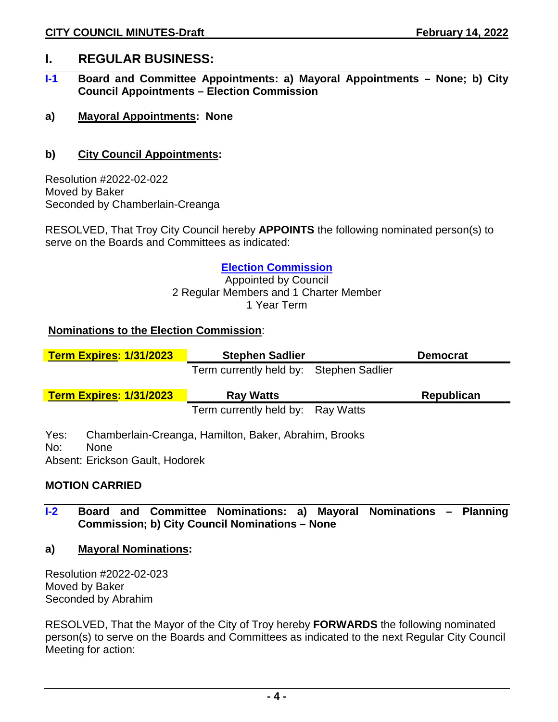## **I. REGULAR BUSINESS:**

- **I-1 Board and Committee Appointments: a) Mayoral Appointments – None; b) City Council Appointments – Election Commission**
- **a) Mayoral Appointments: None**

## **b) City Council Appointments:**

Resolution #2022-02-022 Moved by Baker Seconded by Chamberlain-Creanga

RESOLVED, That Troy City Council hereby **APPOINTS** the following nominated person(s) to serve on the Boards and Committees as indicated:

#### **Election Commission**

Appointed by Council 2 Regular Members and 1 Charter Member 1 Year Term

### **Nominations to the Election Commission**:

| <b>Term Expires: 1/31/2023</b>                                | <b>Stephen Sadlier</b>                                | <b>Democrat</b>   |
|---------------------------------------------------------------|-------------------------------------------------------|-------------------|
|                                                               | Term currently held by: Stephen Sadlier               |                   |
| <b>Term Expires: 1/31/2023</b>                                | <b>Ray Watts</b>                                      | <b>Republican</b> |
|                                                               | Term currently held by: Ray Watts                     |                   |
| Yes:<br>No:<br><b>None</b><br>Absent: Erickson Gault, Hodorek | Chamberlain-Creanga, Hamilton, Baker, Abrahim, Brooks |                   |

### **MOTION CARRIED**

- **I-2 Board and Committee Nominations: a) Mayoral Nominations – Planning Commission; b) City Council Nominations – None**
- **a) Mayoral Nominations:**

Resolution #2022-02-023 Moved by Baker Seconded by Abrahim

RESOLVED, That the Mayor of the City of Troy hereby **FORWARDS** the following nominated person(s) to serve on the Boards and Committees as indicated to the next Regular City Council Meeting for action: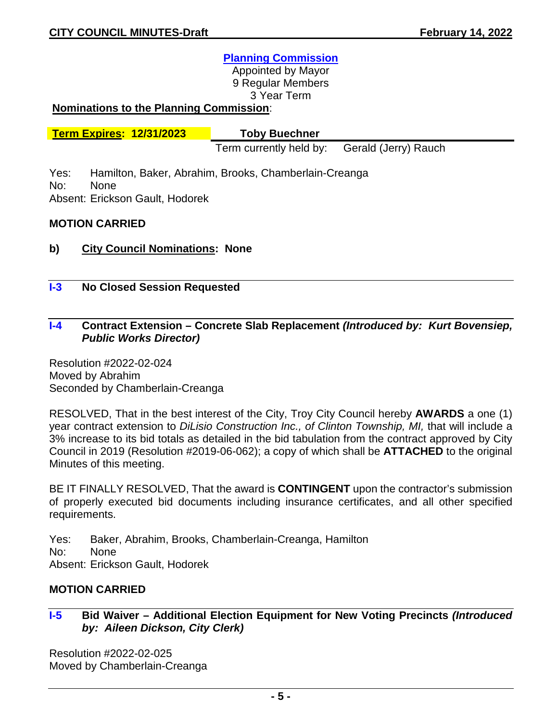### **Planning Commission**

Appointed by Mayor 9 Regular Members 3 Year Term

#### **Nominations to the Planning Commission**:

**Term Expires: 12/31/2023 Toby Buechner**

Term currently held by: Gerald (Jerry) Rauch

Yes: Hamilton, Baker, Abrahim, Brooks, Chamberlain-Creanga No: None

Absent: Erickson Gault, Hodorek

#### **MOTION CARRIED**

- **b) City Council Nominations: None**
- **I-3 No Closed Session Requested**

#### **I-4 Contract Extension – Concrete Slab Replacement** *(Introduced by: Kurt Bovensiep, Public Works Director)*

Resolution #2022-02-024 Moved by Abrahim Seconded by Chamberlain-Creanga

RESOLVED, That in the best interest of the City, Troy City Council hereby **AWARDS** a one (1) year contract extension to *DiLisio Construction Inc., of Clinton Township, MI,* that will include a 3% increase to its bid totals as detailed in the bid tabulation from the contract approved by City Council in 2019 (Resolution #2019-06-062); a copy of which shall be **ATTACHED** to the original Minutes of this meeting.

BE IT FINALLY RESOLVED, That the award is **CONTINGENT** upon the contractor's submission of properly executed bid documents including insurance certificates, and all other specified requirements.

- Yes: Baker, Abrahim, Brooks, Chamberlain-Creanga, Hamilton
- No: None

Absent: Erickson Gault, Hodorek

#### **MOTION CARRIED**

### **I-5 Bid Waiver – Additional Election Equipment for New Voting Precincts** *(Introduced by: Aileen Dickson, City Clerk)*

Resolution #2022-02-025 Moved by Chamberlain-Creanga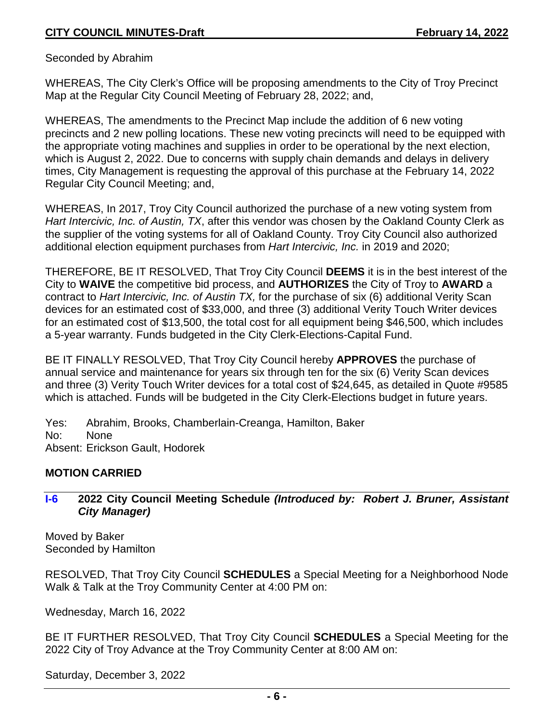Seconded by Abrahim

WHEREAS, The City Clerk's Office will be proposing amendments to the City of Troy Precinct Map at the Regular City Council Meeting of February 28, 2022; and,

WHEREAS, The amendments to the Precinct Map include the addition of 6 new voting precincts and 2 new polling locations. These new voting precincts will need to be equipped with the appropriate voting machines and supplies in order to be operational by the next election, which is August 2, 2022. Due to concerns with supply chain demands and delays in delivery times, City Management is requesting the approval of this purchase at the February 14, 2022 Regular City Council Meeting; and,

WHEREAS, In 2017, Troy City Council authorized the purchase of a new voting system from *Hart Intercivic, Inc. of Austin, TX*, after this vendor was chosen by the Oakland County Clerk as the supplier of the voting systems for all of Oakland County. Troy City Council also authorized additional election equipment purchases from *Hart Intercivic, Inc.* in 2019 and 2020;

THEREFORE, BE IT RESOLVED, That Troy City Council **DEEMS** it is in the best interest of the City to **WAIVE** the competitive bid process, and **AUTHORIZES** the City of Troy to **AWARD** a contract to *Hart Intercivic, Inc. of Austin TX,* for the purchase of six (6) additional Verity Scan devices for an estimated cost of \$33,000, and three (3) additional Verity Touch Writer devices for an estimated cost of \$13,500, the total cost for all equipment being \$46,500, which includes a 5-year warranty. Funds budgeted in the City Clerk-Elections-Capital Fund.

BE IT FINALLY RESOLVED, That Troy City Council hereby **APPROVES** the purchase of annual service and maintenance for years six through ten for the six (6) Verity Scan devices and three (3) Verity Touch Writer devices for a total cost of \$24,645, as detailed in Quote #9585 which is attached. Funds will be budgeted in the City Clerk-Elections budget in future years.

Yes: Abrahim, Brooks, Chamberlain-Creanga, Hamilton, Baker No: None Absent: Erickson Gault, Hodorek

### **MOTION CARRIED**

## **I-6 2022 City Council Meeting Schedule** *(Introduced by: Robert J. Bruner, Assistant City Manager)*

Moved by Baker Seconded by Hamilton

RESOLVED, That Troy City Council **SCHEDULES** a Special Meeting for a Neighborhood Node Walk & Talk at the Troy Community Center at 4:00 PM on:

Wednesday, March 16, 2022

BE IT FURTHER RESOLVED, That Troy City Council **SCHEDULES** a Special Meeting for the 2022 City of Troy Advance at the Troy Community Center at 8:00 AM on:

Saturday, December 3, 2022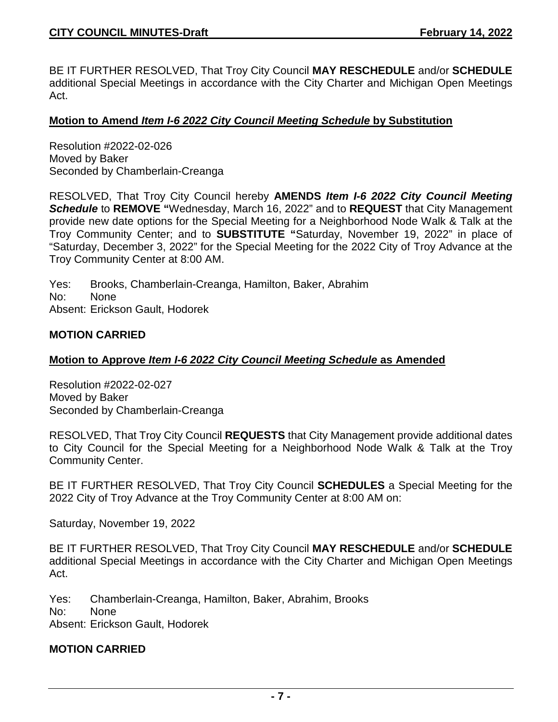BE IT FURTHER RESOLVED, That Troy City Council **MAY RESCHEDULE** and/or **SCHEDULE** additional Special Meetings in accordance with the City Charter and Michigan Open Meetings Act.

#### **Motion to Amend** *Item I-6 2022 City Council Meeting Schedule* **by Substitution**

Resolution #2022-02-026 Moved by Baker Seconded by Chamberlain-Creanga

RESOLVED, That Troy City Council hereby **AMENDS** *Item I-6 2022 City Council Meeting Schedule* to **REMOVE "**Wednesday, March 16, 2022" and to **REQUEST** that City Management provide new date options for the Special Meeting for a Neighborhood Node Walk & Talk at the Troy Community Center; and to **SUBSTITUTE "**Saturday, November 19, 2022" in place of "Saturday, December 3, 2022" for the Special Meeting for the 2022 City of Troy Advance at the Troy Community Center at 8:00 AM.

Yes: Brooks, Chamberlain-Creanga, Hamilton, Baker, Abrahim No: None Absent: Erickson Gault, Hodorek

#### **MOTION CARRIED**

#### **Motion to Approve** *Item I-6 2022 City Council Meeting Schedule* **as Amended**

Resolution #2022-02-027 Moved by Baker Seconded by Chamberlain-Creanga

RESOLVED, That Troy City Council **REQUESTS** that City Management provide additional dates to City Council for the Special Meeting for a Neighborhood Node Walk & Talk at the Troy Community Center.

BE IT FURTHER RESOLVED, That Troy City Council **SCHEDULES** a Special Meeting for the 2022 City of Troy Advance at the Troy Community Center at 8:00 AM on:

Saturday, November 19, 2022

BE IT FURTHER RESOLVED, That Troy City Council **MAY RESCHEDULE** and/or **SCHEDULE** additional Special Meetings in accordance with the City Charter and Michigan Open Meetings Act.

Yes: Chamberlain-Creanga, Hamilton, Baker, Abrahim, Brooks

No: None

Absent: Erickson Gault, Hodorek

#### **MOTION CARRIED**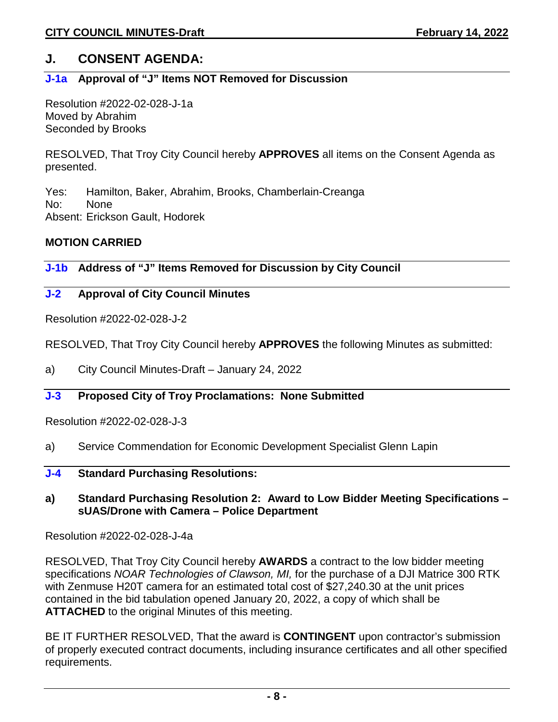# **J. CONSENT AGENDA:**

## **J-1a Approval of "J" Items NOT Removed for Discussion**

Resolution #2022-02-028-J-1a Moved by Abrahim Seconded by Brooks

RESOLVED, That Troy City Council hereby **APPROVES** all items on the Consent Agenda as presented.

Yes: Hamilton, Baker, Abrahim, Brooks, Chamberlain-Creanga No: None Absent: Erickson Gault, Hodorek

### **MOTION CARRIED**

**J-1b Address of "J" Items Removed for Discussion by City Council** 

## **J-2 Approval of City Council Minutes**

Resolution #2022-02-028-J-2

RESOLVED, That Troy City Council hereby **APPROVES** the following Minutes as submitted:

a) City Council Minutes-Draft – January 24, 2022

### **J-3 Proposed City of Troy Proclamations: None Submitted**

Resolution #2022-02-028-J-3

- a) Service Commendation for Economic Development Specialist Glenn Lapin
- **J-4 Standard Purchasing Resolutions:**

#### **a) Standard Purchasing Resolution 2: Award to Low Bidder Meeting Specifications – sUAS/Drone with Camera – Police Department**

Resolution #2022-02-028-J-4a

RESOLVED, That Troy City Council hereby **AWARDS** a contract to the low bidder meeting specifications *NOAR Technologies of Clawson, MI,* for the purchase of a DJI Matrice 300 RTK with Zenmuse H20T camera for an estimated total cost of \$27,240.30 at the unit prices contained in the bid tabulation opened January 20, 2022, a copy of which shall be **ATTACHED** to the original Minutes of this meeting.

BE IT FURTHER RESOLVED, That the award is **CONTINGENT** upon contractor's submission of properly executed contract documents, including insurance certificates and all other specified requirements.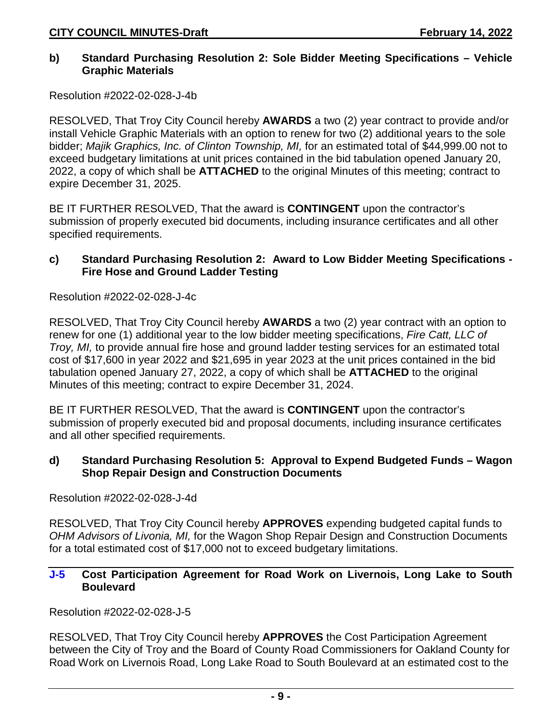#### **b) Standard Purchasing Resolution 2: Sole Bidder Meeting Specifications – Vehicle Graphic Materials**

Resolution #2022-02-028-J-4b

RESOLVED, That Troy City Council hereby **AWARDS** a two (2) year contract to provide and/or install Vehicle Graphic Materials with an option to renew for two (2) additional years to the sole bidder; *Majik Graphics, Inc. of Clinton Township, MI,* for an estimated total of \$44,999.00 not to exceed budgetary limitations at unit prices contained in the bid tabulation opened January 20, 2022, a copy of which shall be **ATTACHED** to the original Minutes of this meeting; contract to expire December 31, 2025.

BE IT FURTHER RESOLVED, That the award is **CONTINGENT** upon the contractor's submission of properly executed bid documents, including insurance certificates and all other specified requirements.

### **c) Standard Purchasing Resolution 2: Award to Low Bidder Meeting Specifications - Fire Hose and Ground Ladder Testing**

Resolution #2022-02-028-J-4c

RESOLVED, That Troy City Council hereby **AWARDS** a two (2) year contract with an option to renew for one (1) additional year to the low bidder meeting specifications, *Fire Catt, LLC of Troy, MI,* to provide annual fire hose and ground ladder testing services for an estimated total cost of \$17,600 in year 2022 and \$21,695 in year 2023 at the unit prices contained in the bid tabulation opened January 27, 2022, a copy of which shall be **ATTACHED** to the original Minutes of this meeting; contract to expire December 31, 2024.

BE IT FURTHER RESOLVED, That the award is **CONTINGENT** upon the contractor's submission of properly executed bid and proposal documents, including insurance certificates and all other specified requirements.

### **d) Standard Purchasing Resolution 5: Approval to Expend Budgeted Funds – Wagon Shop Repair Design and Construction Documents**

Resolution #2022-02-028-J-4d

RESOLVED, That Troy City Council hereby **APPROVES** expending budgeted capital funds to *OHM Advisors of Livonia, MI,* for the Wagon Shop Repair Design and Construction Documents for a total estimated cost of \$17,000 not to exceed budgetary limitations.

## **J-5 Cost Participation Agreement for Road Work on Livernois, Long Lake to South Boulevard**

Resolution #2022-02-028-J-5

RESOLVED, That Troy City Council hereby **APPROVES** the Cost Participation Agreement between the City of Troy and the Board of County Road Commissioners for Oakland County for Road Work on Livernois Road, Long Lake Road to South Boulevard at an estimated cost to the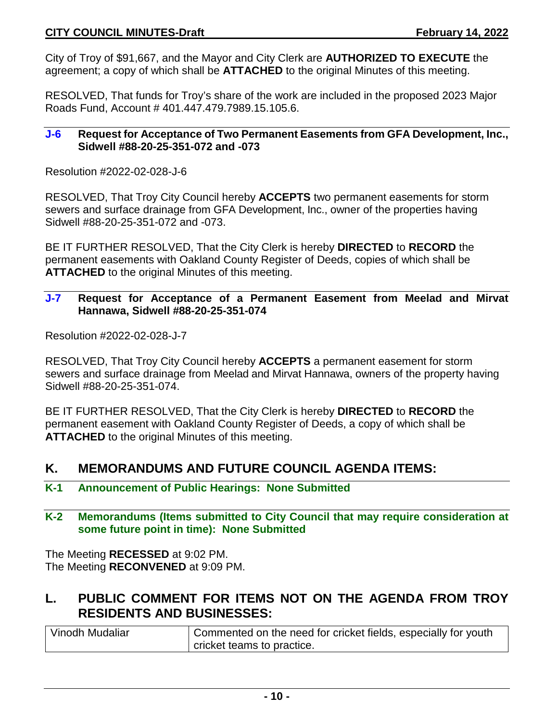City of Troy of \$91,667, and the Mayor and City Clerk are **AUTHORIZED TO EXECUTE** the agreement; a copy of which shall be **ATTACHED** to the original Minutes of this meeting.

RESOLVED, That funds for Troy's share of the work are included in the proposed 2023 Major Roads Fund, Account # 401.447.479.7989.15.105.6.

#### **J-6 Request for Acceptance of Two Permanent Easements from GFA Development, Inc., Sidwell #88-20-25-351-072 and -073**

Resolution #2022-02-028-J-6

RESOLVED, That Troy City Council hereby **ACCEPTS** two permanent easements for storm sewers and surface drainage from GFA Development, Inc., owner of the properties having Sidwell #88-20-25-351-072 and -073.

BE IT FURTHER RESOLVED, That the City Clerk is hereby **DIRECTED** to **RECORD** the permanent easements with Oakland County Register of Deeds, copies of which shall be **ATTACHED** to the original Minutes of this meeting.

## **J-7 Request for Acceptance of a Permanent Easement from Meelad and Mirvat Hannawa, Sidwell #88-20-25-351-074**

Resolution #2022-02-028-J-7

RESOLVED, That Troy City Council hereby **ACCEPTS** a permanent easement for storm sewers and surface drainage from Meelad and Mirvat Hannawa, owners of the property having Sidwell #88-20-25-351-074.

BE IT FURTHER RESOLVED, That the City Clerk is hereby **DIRECTED** to **RECORD** the permanent easement with Oakland County Register of Deeds, a copy of which shall be **ATTACHED** to the original Minutes of this meeting.

# **K. MEMORANDUMS AND FUTURE COUNCIL AGENDA ITEMS:**

- **K-1 Announcement of Public Hearings: None Submitted**
- **K-2 Memorandums (Items submitted to City Council that may require consideration at some future point in time): None Submitted**

The Meeting **RECESSED** at 9:02 PM. The Meeting **RECONVENED** at 9:09 PM.

# **L. PUBLIC COMMENT FOR ITEMS NOT ON THE AGENDA FROM TROY RESIDENTS AND BUSINESSES:**

| Vinodh Mudaliar | Commented on the need for cricket fields, especially for youth |  |
|-----------------|----------------------------------------------------------------|--|
|                 | cricket teams to practice.                                     |  |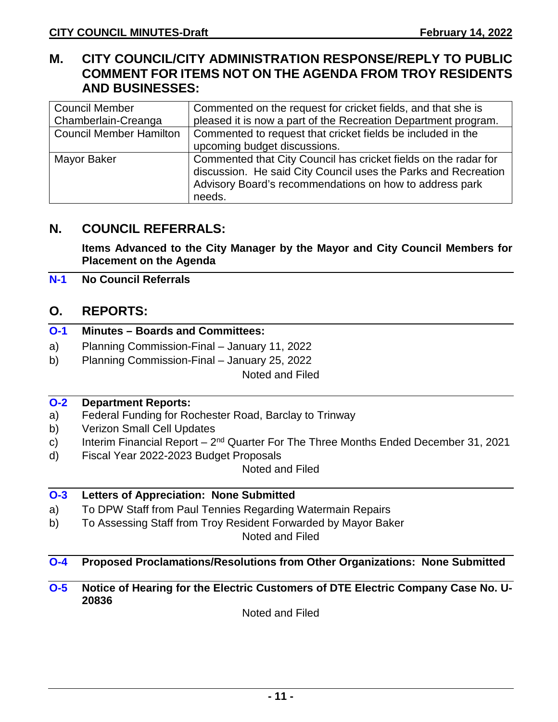# **M. CITY COUNCIL/CITY ADMINISTRATION RESPONSE/REPLY TO PUBLIC COMMENT FOR ITEMS NOT ON THE AGENDA FROM TROY RESIDENTS AND BUSINESSES:**

| <b>Council Member</b>          | Commented on the request for cricket fields, and that she is    |
|--------------------------------|-----------------------------------------------------------------|
| Chamberlain-Creanga            | pleased it is now a part of the Recreation Department program.  |
| <b>Council Member Hamilton</b> | Commented to request that cricket fields be included in the     |
|                                | upcoming budget discussions.                                    |
| Mayor Baker                    | Commented that City Council has cricket fields on the radar for |
|                                | discussion. He said City Council uses the Parks and Recreation  |
|                                | Advisory Board's recommendations on how to address park         |
|                                | needs.                                                          |

# **N. COUNCIL REFERRALS:**

**Items Advanced to the City Manager by the Mayor and City Council Members for Placement on the Agenda**

## **N-1 No Council Referrals**

## **O. REPORTS:**

|  |  | <b>O-1</b> Minutes – Boards and Committees: |
|--|--|---------------------------------------------|
|  |  |                                             |

- a) Planning Commission-Final January 11, 2022
- b) Planning Commission-Final January 25, 2022

Noted and Filed

### **O-2 Department Reports:**

- a) Federal Funding for Rochester Road, Barclay to Trinway
- b) Verizon Small Cell Updates
- c) Interim Financial Report  $2^{nd}$  Quarter For The Three Months Ended December 31, 2021
- d) Fiscal Year 2022-2023 Budget Proposals

Noted and Filed

## **O-3 Letters of Appreciation: None Submitted**

- a) To DPW Staff from Paul Tennies Regarding Watermain Repairs
- b) To Assessing Staff from Troy Resident Forwarded by Mayor Baker

Noted and Filed

## **O-4 Proposed Proclamations/Resolutions from Other Organizations: None Submitted**

**O-5 Notice of Hearing for the Electric Customers of DTE Electric Company Case No. U-20836**

Noted and Filed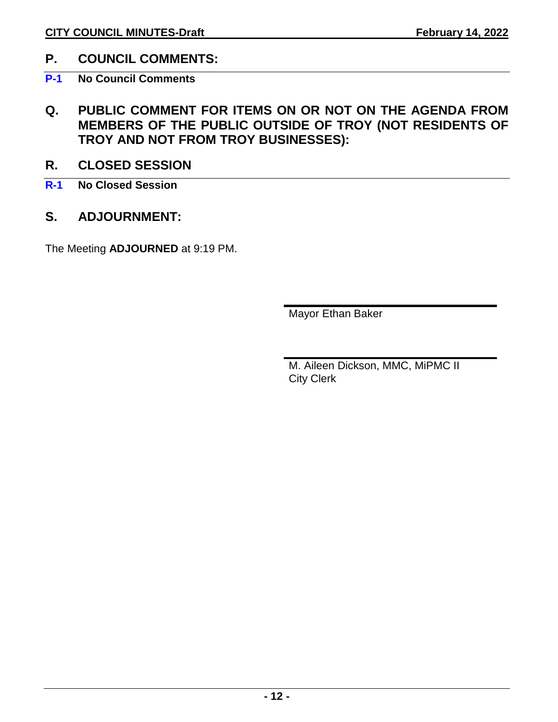# **P. COUNCIL COMMENTS:**

**P-1 No Council Comments**

- **Q. PUBLIC COMMENT FOR ITEMS ON OR NOT ON THE AGENDA FROM MEMBERS OF THE PUBLIC OUTSIDE OF TROY (NOT RESIDENTS OF TROY AND NOT FROM TROY BUSINESSES):**
- **R. CLOSED SESSION**
- **R-1 No Closed Session**
- **S. ADJOURNMENT:**

The Meeting **ADJOURNED** at 9:19 PM.

Mayor Ethan Baker

M. Aileen Dickson, MMC, MiPMC II City Clerk